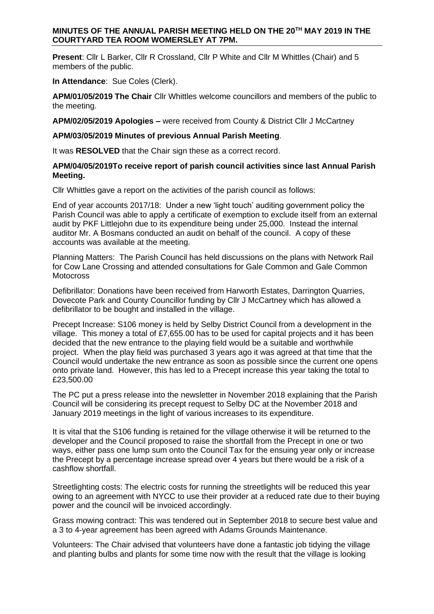# **MINUTES OF THE ANNUAL PARISH MEETING HELD ON THE 20TH MAY 2019 IN THE COURTYARD TEA ROOM WOMERSLEY AT 7PM.**

**Present**: Cllr L Barker, Cllr R Crossland, Cllr P White and Cllr M Whittles (Chair) and 5 members of the public.

**In Attendance**: Sue Coles (Clerk).

**APM/01/05/2019 The Chair** Cllr Whittles welcome councillors and members of the public to the meeting.

### **APM/02/05/2019 Apologies –** were received from County & District Cllr J McCartney

### **APM/03/05/2019 Minutes of previous Annual Parish Meeting**.

It was **RESOLVED** that the Chair sign these as a correct record.

### **APM/04/05/2019To receive report of parish council activities since last Annual Parish Meeting.**

Cllr Whittles gave a report on the activities of the parish council as follows:

End of year accounts 2017/18: Under a new 'light touch' auditing government policy the Parish Council was able to apply a certificate of exemption to exclude itself from an external audit by PKF Littlejohn due to its expenditure being under 25,000. Instead the internal auditor Mr. A Bosmans conducted an audit on behalf of the council. A copy of these accounts was available at the meeting.

Planning Matters: The Parish Council has held discussions on the plans with Network Rail for Cow Lane Crossing and attended consultations for Gale Common and Gale Common **Motocross** 

Defibrillator: Donations have been received from Harworth Estates, Darrington Quarries, Dovecote Park and County Councillor funding by Cllr J McCartney which has allowed a defibrillator to be bought and installed in the village.

Precept Increase: S106 money is held by Selby District Council from a development in the village. This money a total of £7,655.00 has to be used for capital projects and it has been decided that the new entrance to the playing field would be a suitable and worthwhile project. When the play field was purchased 3 years ago it was agreed at that time that the Council would undertake the new entrance as soon as possible since the current one opens onto private land. However, this has led to a Precept increase this year taking the total to £23,500.00

The PC put a press release into the newsletter in November 2018 explaining that the Parish Council will be considering its precept request to Selby DC at the November 2018 and January 2019 meetings in the light of various increases to its expenditure.

It is vital that the S106 funding is retained for the village otherwise it will be returned to the developer and the Council proposed to raise the shortfall from the Precept in one or two ways, either pass one lump sum onto the Council Tax for the ensuing year only or increase the Precept by a percentage increase spread over 4 years but there would be a risk of a cashflow shortfall.

Streetlighting costs: The electric costs for running the streetlights will be reduced this year owing to an agreement with NYCC to use their provider at a reduced rate due to their buying power and the council will be invoiced accordingly.

Grass mowing contract: This was tendered out in September 2018 to secure best value and a 3 to 4-year agreement has been agreed with Adams Grounds Maintenance.

Volunteers: The Chair advised that volunteers have done a fantastic job tidying the village and planting bulbs and plants for some time now with the result that the village is looking